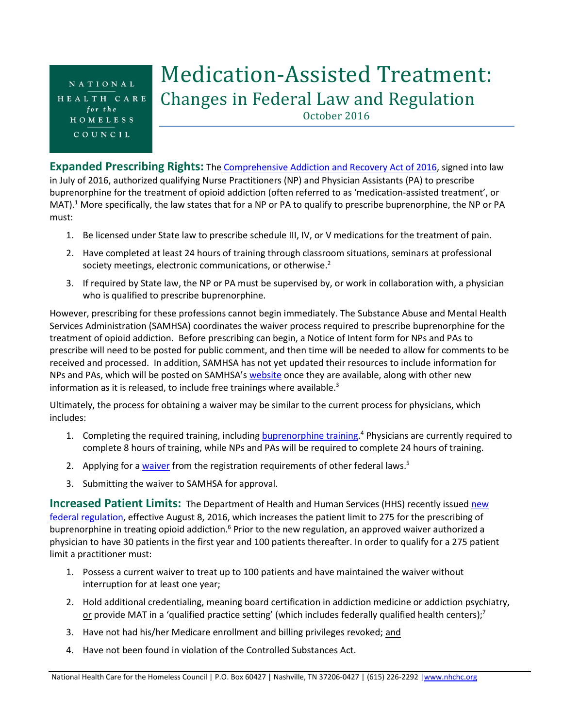NATIONAL HEALTH CARE for the HOMELESS COUNCIL

## Medication-Assisted Treatment: Changes in Federal Law and Regulation

October 2016

**Expanded Prescribing Rights:** The **Comprehensive Addiction and Recovery Act of 2016**, signed into law in July of 2016, authorized qualifying Nurse Practitioners (NP) and Physician Assistants (PA) to prescribe buprenorphine for the treatment of opioid addiction (often referred to as 'medication-assisted treatment', or MAT).<sup>1</sup> More specifically, the law states that for a NP or PA to qualify to prescribe buprenorphine, the NP or PA must:

- 1. Be licensed under State law to prescribe schedule III, IV, or V medications for the treatment of pain.
- 2. Have completed at least 24 hours of training through classroom situations, seminars at professional society meetings, electronic communications, or otherwise.<sup>2</sup>
- 3. If required by State law, the NP or PA must be supervised by, or work in collaboration with, a physician who is qualified to prescribe buprenorphine.

However, prescribing for these professions cannot begin immediately. The Substance Abuse and Mental Health Services Administration (SAMHSA) coordinates the waiver process required to prescribe buprenorphine for the treatment of opioid addiction. Before prescribing can begin, a Notice of Intent form for NPs and PAs to prescribe will need to be posted for public comment, and then time will be needed to allow for comments to be received and processed. In addition, SAMHSA has not yet updated their resources to include information for NPs and PAs, which will be posted on SAMHSA's [website](http://www.samhsa.gov/medication-assisted-treatment/) once they are available, along with other new information as it is released, to include free trainings where available. $^3$ 

Ultimately, the process for obtaining a waiver may be similar to the current process for physicians, which includes:

- 1. Completing the required training, including **buprenorphine training.<sup>4</sup> Physicians are currently required to** complete 8 hours of training, while NPs and PAs will be required to complete 24 hours of training.
- 2. Applying for a *waiver* from the registration requirements of other federal laws.<sup>5</sup>
- 3. Submitting the waiver to SAMHSA for approval.

**Increased Patient Limits:** The Department of Health and Human Services (HHS) recently issued new [federal regulation,](https://www.federalregister.gov/articles/2016/07/08/2016-16120/medication-assisted-treatment-for-opioid-use-disorders) effective August 8, 2016, which increases the patient limit to 275 for the prescribing of buprenorphine in treating opioid addiction.<sup>6</sup> Prior to the new regulation, an approved waiver authorized a physician to have 30 patients in the first year and 100 patients thereafter. In order to qualify for a 275 patient limit a practitioner must:

- 1. Possess a current waiver to treat up to 100 patients and have maintained the waiver without interruption for at least one year;
- 2. Hold additional credentialing, meaning board certification in addiction medicine or addiction psychiatry, or provide MAT in a 'qualified practice setting' (which includes federally qualified health centers);<sup>7</sup>
- 3. Have not had his/her Medicare enrollment and billing privileges revoked; and
- 4. Have not been found in violation of the Controlled Substances Act.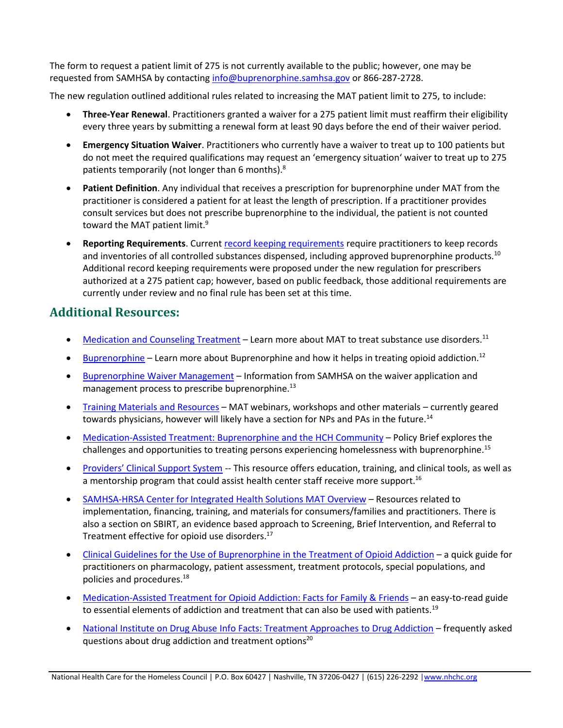The form to request a patient limit of 275 is not currently available to the public; however, one may be requested from SAMHSA by contactin[g info@buprenorphine.samhsa.gov](mailto:info@buprenorphine.samhsa.gov) or 866-287-2728.

The new regulation outlined additional rules related to increasing the MAT patient limit to 275, to include:

- **Three-Year Renewal**. Practitioners granted a waiver for a 275 patient limit must reaffirm their eligibility every three years by submitting a renewal form at least 90 days before the end of their waiver period.
- **Emergency Situation Waiver**. Practitioners who currently have a waiver to treat up to 100 patients but do not meet the required qualifications may request an 'emergency situation' waiver to treat up to 275 patients temporarily (not longer than 6 months). $8$
- **Patient Definition**. Any individual that receives a prescription for buprenorphine under MAT from the practitioner is considered a patient for at least the length of prescription. If a practitioner provides consult services but does not prescribe buprenorphine to the individual, the patient is not counted toward the MAT patient limit.<sup>9</sup>
- **Reporting Requirements**. Current [record keeping requirements](http://www.ecfr.gov/cgi-bin/text-idx?SID=9dcf178be57df5a3bf5db2d8d40be95f&node=se21.9.1304_103&rgn=div8) require practitioners to keep records and inventories of all controlled substances dispensed, including approved buprenorphine products.<sup>10</sup> Additional record keeping requirements were proposed under the new regulation for prescribers authorized at a 275 patient cap; however, based on public feedback, those additional requirements are currently under review and no final rule has been set at this time.

## **Additional Resources:**

- [Medication and Counseling Treatment](http://www.samhsa.gov/medication-assisted-treatment/treatment) Learn more about MAT to treat substance use disorders.<sup>11</sup>
- **[Buprenorphine](http://www.samhsa.gov/medication-assisted-treatment/treatment/buprenorphine) Learn more about Buprenorphine and how it helps in treating opioid addiction.**<sup>12</sup>
- [Buprenorphine Waiver Management](http://www.samhsa.gov/medication-assisted-treatment/buprenorphine-waiver-management) Information from SAMHSA on the waiver application and management process to prescribe buprenorphine.<sup>13</sup>
- [Training Materials and Resources](http://www.samhsa.gov/medication-assisted-treatment/training-resources/buprenorphine-physician-training) MAT webinars, workshops and other materials currently geared towards physicians, however will likely have a section for NPs and PAs in the future.<sup>14</sup>
- [Medication-Assisted Treatment: Buprenorphine and the HCH Community](https://www.nhchc.org/wp-content/uploads/2016/05/policy-brief-buprenorphine-in-the-hch-community-final.pdf) Policy Brief explores the challenges and opportunities to treating persons experiencing homelessness with buprenorphine.<sup>15</sup>
- [Providers' Clinical Support System](http://pcssmat.org/) -- This resource offers education, training, and clinical tools, as well as a mentorship program that could assist health center staff receive more support.<sup>16</sup>
- [SAMHSA-HRSA Center for Integrated Health Solutions MAT Overview](http://www.integration.samhsa.gov/clinical-practice/mat/mat-overview) Resources related to implementation, financing, training, and materials for consumers/families and practitioners. There is also a section on SBIRT, an evidence based approach to Screening, Brief Intervention, and Referral to Treatment effective for opioid use disorders.<sup>17</sup>
- [Clinical Guidelines for the Use of Buprenorphine in the Treatment of Opioid Addiction](http://store.samhsa.gov/product/Clinical-Guidelines-for-the-Use-of-Buprenorphine-in-the-Treatment-of-Opioid-Addiction/SMA05-4003) a quick guide for practitioners on pharmacology, patient assessment, treatment protocols, special populations, and policies and procedures.<sup>18</sup>
- [Medication-Assisted Treatment for Opioid Addiction: Facts for Family & Friends](http://store.samhsa.gov/shin/content/SMA09-4443/SMA09-4443.pdf) an easy-to-read guide to essential elements of addiction and treatment that can also be used with patients.<sup>19</sup>
- [National Institute on Drug Abuse Info Facts: Treatment Approaches to Drug Addiction](https://d14rmgtrwzf5a.cloudfront.net/sites/default/files/df_treatment_approaches_final_7_2016.pdf) frequently asked questions about drug addiction and treatment options<sup>20</sup>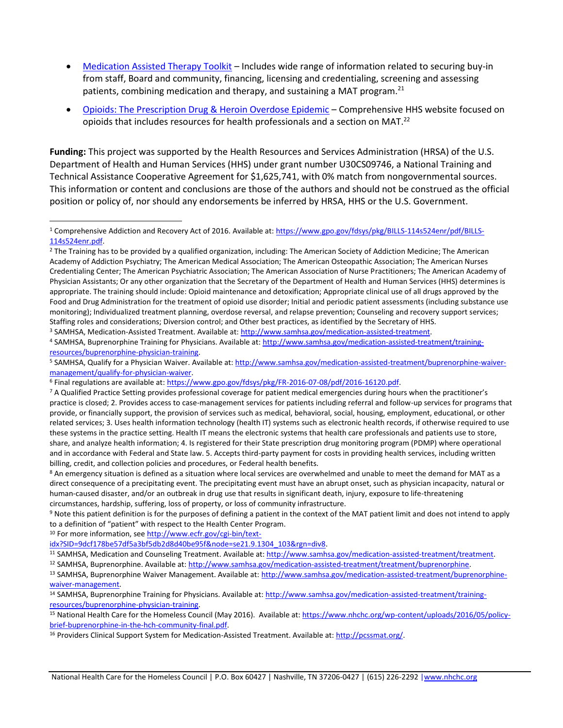- [Medication Assisted Therapy Toolkit](http://www.niatx.net/PDF/NIATx-MAT-Toolkit.pdf) Includes wide range of information related to securing buy-in from staff, Board and community, financing, licensing and credentialing, screening and assessing patients, combining medication and therapy, and sustaining a MAT program.<sup>21</sup>
- [Opioids: The Prescription Drug & Heroin Overdose Epidemic](http://www.hhs.gov/opioids/) Comprehensive HHS website focused on opioids that includes resources for health professionals and a section on MAT.<sup>22</sup>

**Funding:** This project was supported by the Health Resources and Services Administration (HRSA) of the U.S. Department of Health and Human Services (HHS) under grant number U30CS09746, a National Training and Technical Assistance Cooperative Agreement for \$1,625,741, with 0% match from nongovernmental sources. This information or content and conclusions are those of the authors and should not be construed as the official position or policy of, nor should any endorsements be inferred by HRSA, HHS or the U.S. Government.

<sup>3</sup> SAMHSA, Medication-Assisted Treatment. Available at: [http://www.samhsa.gov/medication-assisted-treatment.](http://www.samhsa.gov/medication-assisted-treatment)

<sup>9</sup> Note this patient definition is for the purposes of defining a patient in the context of the MAT patient limit and does not intend to apply to a definition of "patient" with respect to the Health Center Program.

<sup>10</sup> For more information, see [http://www.ecfr.gov/cgi-bin/text-](http://www.ecfr.gov/cgi-bin/text-idx?SID=9dcf178be57df5a3bf5db2d8d40be95f&node=se21.9.1304_103&rgn=div8)

 $\overline{a}$ 

[idx?SID=9dcf178be57df5a3bf5db2d8d40be95f&node=se21.9.1304\\_103&rgn=div8.](http://www.ecfr.gov/cgi-bin/text-idx?SID=9dcf178be57df5a3bf5db2d8d40be95f&node=se21.9.1304_103&rgn=div8) 

11 SAMHSA, Medication and Counseling Treatment. Available at[: http://www.samhsa.gov/medication-assisted-treatment/treatment.](http://www.samhsa.gov/medication-assisted-treatment/treatment)

<sup>12</sup> SAMHSA, Buprenorphine. Available at: [http://www.samhsa.gov/medication-assisted-treatment/treatment/buprenorphine.](http://www.samhsa.gov/medication-assisted-treatment/treatment/buprenorphine) 

13 SAMHSA, Buprenorphine Waiver Management. Available at[: http://www.samhsa.gov/medication-assisted-treatment/buprenorphine](http://www.samhsa.gov/medication-assisted-treatment/buprenorphine-waiver-management)[waiver-management.](http://www.samhsa.gov/medication-assisted-treatment/buprenorphine-waiver-management)

<sup>1</sup> Comprehensive Addiction and Recovery Act of 2016. Available at[: https://www.gpo.gov/fdsys/pkg/BILLS-114s524enr/pdf/BILLS-](https://www.gpo.gov/fdsys/pkg/BILLS-114s524enr/pdf/BILLS-114s524enr.pdf)[114s524enr.pdf.](https://www.gpo.gov/fdsys/pkg/BILLS-114s524enr/pdf/BILLS-114s524enr.pdf) 

<sup>&</sup>lt;sup>2</sup> The Training has to be provided by a qualified organization, including: The American Society of Addiction Medicine; The American Academy of Addiction Psychiatry; The American Medical Association; The American Osteopathic Association; The American Nurses Credentialing Center; The American Psychiatric Association; The American Association of Nurse Practitioners; The American Academy of Physician Assistants; Or any other organization that the Secretary of the Department of Health and Human Services (HHS) determines is appropriate. The training should include: Opioid maintenance and detoxification; Appropriate clinical use of all drugs approved by the Food and Drug Administration for the treatment of opioid use disorder; Initial and periodic patient assessments (including substance use monitoring); Individualized treatment planning, overdose reversal, and relapse prevention; Counseling and recovery support services; Staffing roles and considerations; Diversion control; and Other best practices, as identified by the Secretary of HHS.

<sup>4</sup> SAMHSA, Buprenorphine Training for Physicians. Available at: [http://www.samhsa.gov/medication-assisted-treatment/training](http://www.samhsa.gov/medication-assisted-treatment/training-resources/buprenorphine-physician-training)[resources/buprenorphine-physician-training.](http://www.samhsa.gov/medication-assisted-treatment/training-resources/buprenorphine-physician-training)

<sup>5</sup> SAMHSA, Qualify for a Physician Waiver. Available at: [http://www.samhsa.gov/medication-assisted-treatment/buprenorphine-waiver](http://www.samhsa.gov/medication-assisted-treatment/buprenorphine-waiver-management/qualify-for-physician-waiver)[management/qualify-for-physician-waiver.](http://www.samhsa.gov/medication-assisted-treatment/buprenorphine-waiver-management/qualify-for-physician-waiver) 

<sup>6</sup> Final regulations are available at[: https://www.gpo.gov/fdsys/pkg/FR-2016-07-08/pdf/2016-16120.pdf.](https://www.gpo.gov/fdsys/pkg/FR-2016-07-08/pdf/2016-16120.pdf)

<sup>&</sup>lt;sup>7</sup> A Qualified Practice Setting provides professional coverage for patient medical emergencies during hours when the practitioner's practice is closed; 2. Provides access to case-management services for patients including referral and follow-up services for programs that provide, or financially support, the provision of services such as medical, behavioral, social, housing, employment, educational, or other related services; 3. Uses health information technology (health IT) systems such as electronic health records, if otherwise required to use these systems in the practice setting. Health IT means the electronic systems that health care professionals and patients use to store, share, and analyze health information; 4. Is registered for their State prescription drug monitoring program (PDMP) where operational and in accordance with Federal and State law. 5. Accepts third-party payment for costs in providing health services, including written billing, credit, and collection policies and procedures, or Federal health benefits.

<sup>8</sup> An emergency situation is defined as a situation where local services are overwhelmed and unable to meet the demand for MAT as a direct consequence of a precipitating event. The precipitating event must have an abrupt onset, such as physician incapacity, natural or human-caused disaster, and/or an outbreak in drug use that results in significant death, injury, exposure to life-threatening circumstances, hardship, suffering, loss of property, or loss of community infrastructure.

<sup>&</sup>lt;sup>14</sup> SAMHSA, Buprenorphine Training for Physicians. Available at: [http://www.samhsa.gov/medication-assisted-treatment/training](http://www.samhsa.gov/medication-assisted-treatment/training-resources/buprenorphine-physician-training)[resources/buprenorphine-physician-training.](http://www.samhsa.gov/medication-assisted-treatment/training-resources/buprenorphine-physician-training)

<sup>15</sup> National Health Care for the Homeless Council (May 2016). Available at: [https://www.nhchc.org/wp-content/uploads/2016/05/policy](https://www.nhchc.org/wp-content/uploads/2016/05/policy-brief-buprenorphine-in-the-hch-community-final.pdf)[brief-buprenorphine-in-the-hch-community-final.pdf.](https://www.nhchc.org/wp-content/uploads/2016/05/policy-brief-buprenorphine-in-the-hch-community-final.pdf)

<sup>16</sup> Providers Clinical Support System for Medication-Assisted Treatment. Available at[: http://pcssmat.org/.](http://pcssmat.org/)